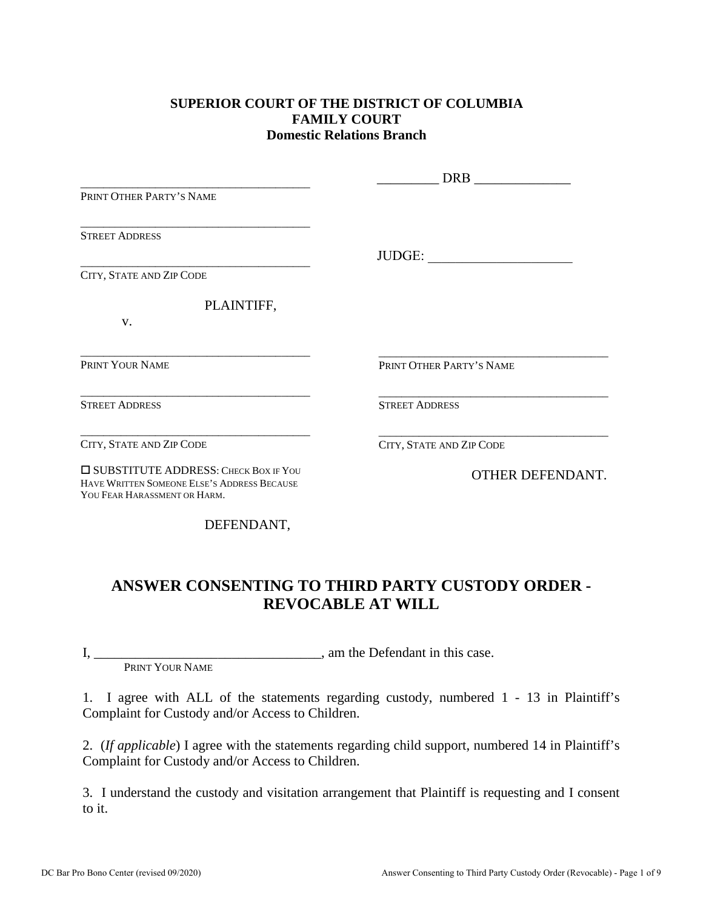### **SUPERIOR COURT OF THE DISTRICT OF COLUMBIA FAMILY COURT Domestic Relations Branch**

|                                                                                                                             | <b>DRB</b>               |
|-----------------------------------------------------------------------------------------------------------------------------|--------------------------|
| PRINT OTHER PARTY'S NAME                                                                                                    |                          |
| <b>STREET ADDRESS</b>                                                                                                       |                          |
|                                                                                                                             | JUDGE:                   |
| CITY, STATE AND ZIP CODE                                                                                                    |                          |
| PLAINTIFF,                                                                                                                  |                          |
| V.                                                                                                                          |                          |
| PRINT YOUR NAME                                                                                                             | PRINT OTHER PARTY'S NAME |
| <b>STREET ADDRESS</b>                                                                                                       | <b>STREET ADDRESS</b>    |
| CITY, STATE AND ZIP CODE                                                                                                    | CITY, STATE AND ZIP CODE |
| <b>ISUBSTITUTE ADDRESS: CHECK BOX IF YOU</b><br>HAVE WRITTEN SOMEONE ELSE'S ADDRESS BECAUSE<br>YOU FEAR HARASSMENT OR HARM. | OTHER DEFENDANT.         |

DEFENDANT,

# **ANSWER CONSENTING TO THIRD PARTY CUSTODY ORDER - REVOCABLE AT WILL**

I, \_\_\_\_\_\_\_\_\_\_\_\_\_\_\_\_\_\_\_\_\_\_\_\_\_\_\_\_\_\_\_\_\_, am the Defendant in this case.

PRINT YOUR NAME

1. I agree with ALL of the statements regarding custody, numbered 1 - 13 in Plaintiff's Complaint for Custody and/or Access to Children.

2. (*If applicable*) I agree with the statements regarding child support, numbered 14 in Plaintiff's Complaint for Custody and/or Access to Children.

3. I understand the custody and visitation arrangement that Plaintiff is requesting and I consent to it.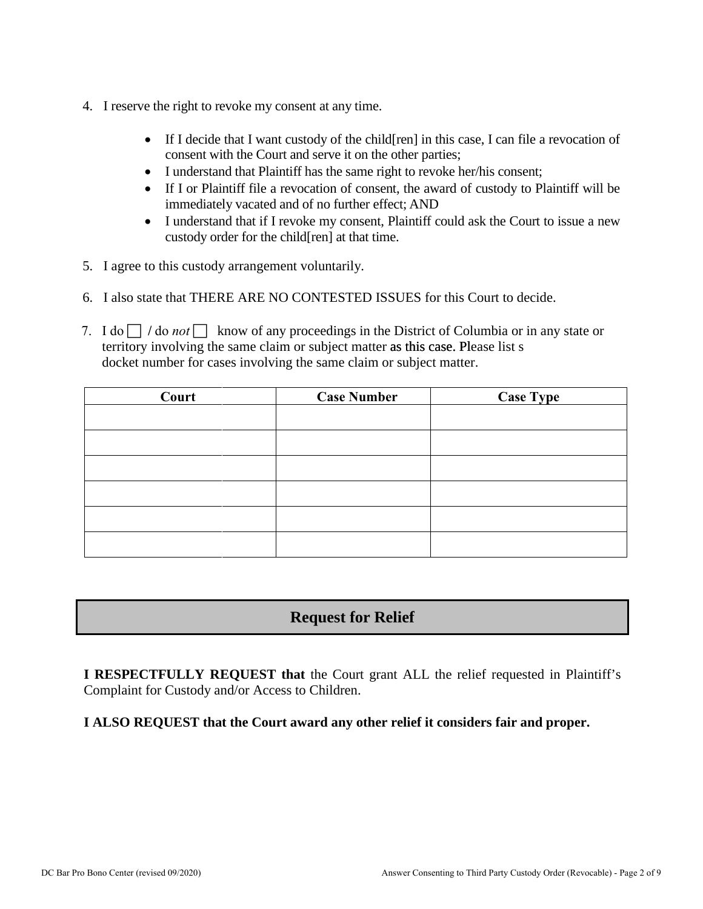- 4. I reserve the right to revoke my consent at any time.
	- If I decide that I want custody of the child [ren] in this case, I can file a revocation of consent with the Court and serve it on the other parties;
	- I understand that Plaintiff has the same right to revoke her/his consent;
	- If I or Plaintiff file a revocation of consent, the award of custody to Plaintiff will be immediately vacated and of no further effect; AND
	- I understand that if I revoke my consent, Plaintiff could ask the Court to issue a new custody order for the child[ren] at that time.
- 5. I agree to this custody arrangement voluntarily.
- 6. I also state that THERE ARE NO CONTESTED ISSUES for this Court to decide.
- 7. I do  $\Box$  / do *not*  $\Box$  know of any proceedings in the District of Columbia or in any state or territory involving the same claim or subject matter as this case. Please list s docket number for cases involving the same claim or subject matter.

| Court | <b>Case Number</b> | <b>Case Type</b> |
|-------|--------------------|------------------|
|       |                    |                  |
|       |                    |                  |
|       |                    |                  |
|       |                    |                  |
|       |                    |                  |
|       |                    |                  |

# **Request for Relief**

**I RESPECTFULLY REQUEST that** the Court grant ALL the relief requested in Plaintiff's Complaint for Custody and/or Access to Children.

### **I ALSO REQUEST that the Court award any other relief it considers fair and proper.**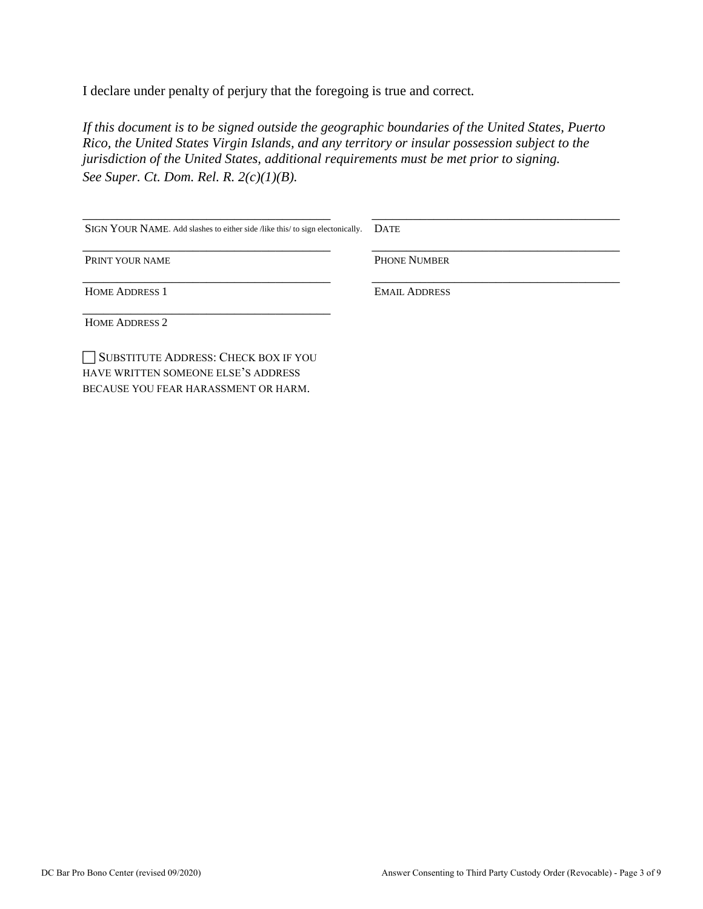I declare under penalty of perjury that the foregoing is true and correct*.* 

*If this document is to be signed outside the geographic boundaries of the United States, Puerto Rico, the United States Virgin Islands, and any territory or insular possession subject to the jurisdiction of the United States, additional requirements must be met prior to signing. See Super. Ct. Dom. Rel. R. 2(c)(1)(B).*

| SIGN YOUR NAME. Add slashes to either side /like this/ to sign electonically. | <b>DATE</b>          |
|-------------------------------------------------------------------------------|----------------------|
| PRINT YOUR NAME                                                               | <b>PHONE NUMBER</b>  |
| <b>HOME ADDRESS 1</b>                                                         | <b>EMAIL ADDRESS</b> |
| <b>HOME ADDRESS 2</b>                                                         |                      |
| SUBSTITUTE ADDRESS: CHECK BOX IF YOU<br>HAVE WRITTEN SOMEONE ELSE'S ADDRESS   |                      |

BECAUSE YOU FEAR HARASSMENT OR HARM.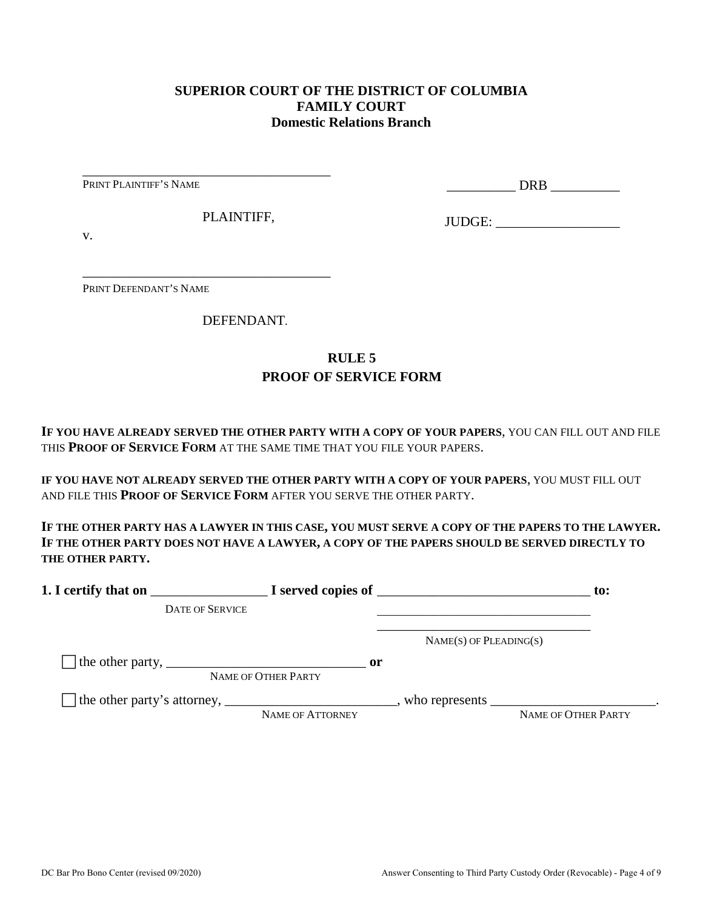### **SUPERIOR COURT OF THE DISTRICT OF COLUMBIA FAMILY COURT Domestic Relations Branch**

PRINT PLAINTIFF'S NAME

\_\_\_\_\_\_\_\_\_\_ DRB \_\_\_\_\_\_\_\_\_\_

PLAINTIFF,

\_\_\_\_\_\_\_\_\_\_\_\_\_\_\_\_\_\_\_\_\_\_\_\_\_\_\_\_\_\_\_\_\_\_\_\_

\_\_\_\_\_\_\_\_\_\_\_\_\_\_\_\_\_\_\_\_\_\_\_\_\_\_\_\_\_\_\_\_\_\_\_\_

JUDGE: \_\_\_\_\_\_\_\_\_\_\_\_\_\_\_\_\_\_

v.

PRINT DEFENDANT'S NAME

DEFENDANT.

## **RULE 5 PROOF OF SERVICE FORM**

**IF YOU HAVE ALREADY SERVED THE OTHER PARTY WITH A COPY OF YOUR PAPERS**, YOU CAN FILL OUT AND FILE THIS **PROOF OF SERVICE FORM** AT THE SAME TIME THAT YOU FILE YOUR PAPERS.

**IF YOU HAVE NOT ALREADY SERVED THE OTHER PARTY WITH A COPY OF YOUR PAPERS**, YOU MUST FILL OUT AND FILE THIS **PROOF OF SERVICE FORM** AFTER YOU SERVE THE OTHER PARTY.

**IF THE OTHER PARTY HAS A LAWYER IN THIS CASE, YOU MUST SERVE A COPY OF THE PAPERS TO THE LAWYER. IF THE OTHER PARTY DOES NOT HAVE A LAWYER, A COPY OF THE PAPERS SHOULD BE SERVED DIRECTLY TO THE OTHER PARTY.** 

| 1. I certify that on                                                                                      |                                      | $\blacksquare$ $\blacksquare$ I served copies of $\blacksquare$ | $\mathbf{to}$ :     |
|-----------------------------------------------------------------------------------------------------------|--------------------------------------|-----------------------------------------------------------------|---------------------|
| <b>DATE OF SERVICE</b>                                                                                    |                                      |                                                                 |                     |
|                                                                                                           |                                      | $NAME(S)$ OF PLEADING(S)                                        |                     |
| The other party, $\frac{1}{\sqrt{1-\frac{1}{2}}}\left\lfloor \frac{1}{2}\right\rfloor$                    | $\mathbf{or}$<br>NAME OF OTHER PARTY |                                                                 |                     |
| The other party's attorney, _______________________________, who represents ____________________________. | NAME OF ATTORNEY                     |                                                                 | NAME OF OTHER PARTY |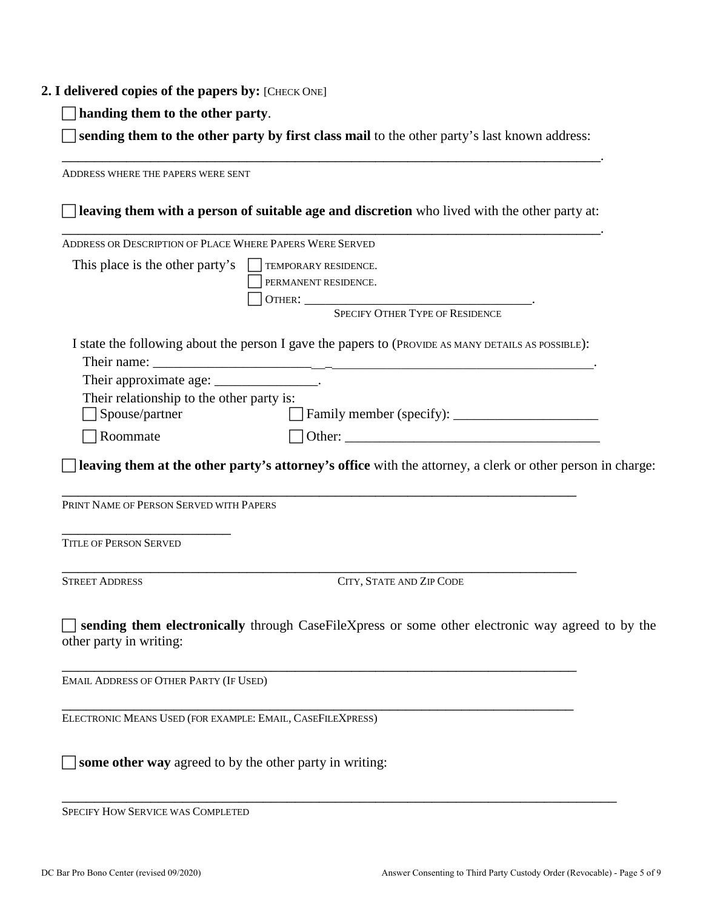#### **2. I delivered copies of the papers by:** [CHECK ONE]

**handing them to the other party**.

 **sending them to the other party by first class mail** to the other party's last known address: \_\_\_\_\_\_\_\_\_\_\_\_\_\_\_\_\_\_\_\_\_\_\_\_\_\_\_\_\_\_\_\_\_\_\_\_\_\_\_\_\_\_\_\_\_\_\_\_\_\_\_\_\_\_\_\_\_\_\_\_\_\_\_\_\_\_\_.

ADDRESS WHERE THE PAPERS WERE SENT **leaving them with a person of suitable age and discretion** who lived with the other party at: \_\_\_\_\_\_\_\_\_\_\_\_\_\_\_\_\_\_\_\_\_\_\_\_\_\_\_\_\_\_\_\_\_\_\_\_\_\_\_\_\_\_\_\_\_\_\_\_\_\_\_\_\_\_\_\_\_\_\_\_\_\_\_\_\_\_\_. ADDRESS OR DESCRIPTION OF PLACE WHERE PAPERS WERE SERVED This place is the other party's  $\Box$  TEMPORARY RESIDENCE. PERMANENT RESIDENCE. OTHER: \_\_\_\_\_\_\_\_\_\_\_\_\_\_\_\_\_\_\_\_\_\_\_\_\_\_\_\_\_\_\_\_\_. SPECIFY OTHER TYPE OF RESIDENCE I state the following about the person I gave the papers to (PROVIDE AS MANY DETAILS AS POSSIBLE): Their name: Their approximate age: \_\_\_\_\_\_\_\_\_\_\_\_\_\_\_\_. Their relationship to the other party is: Spouse/partner Family member (specify): \_\_\_\_\_\_\_\_\_\_\_\_\_\_\_\_\_\_\_\_\_  $\Box$  Roommate  $\Box$  Other: **leaving them at the other party's attorney's office** with the attorney, a clerk or other person in charge: \_\_\_\_\_\_\_\_\_\_\_\_\_\_\_\_\_\_\_\_\_\_\_\_\_\_\_\_\_\_\_\_\_\_\_\_\_\_\_\_\_\_\_\_\_\_\_\_\_\_\_\_\_\_\_\_\_\_\_\_\_\_\_\_ PRINT NAME OF PERSON SERVED WITH PAPERS \_\_\_\_\_\_\_\_\_\_\_\_\_\_\_\_\_\_\_\_\_ TITLE OF PERSON SERVED \_\_\_\_\_\_\_\_\_\_\_\_\_\_\_\_\_\_\_\_\_\_\_\_\_\_\_\_\_\_\_\_\_\_\_\_\_\_\_\_\_\_\_\_\_\_\_\_\_\_\_\_\_\_\_\_\_\_\_\_\_\_\_\_ STREET ADDRESS CITY, STATE AND ZIP CODE **sending them electronically** through CaseFileXpress or some other electronic way agreed to by the other party in writing: \_\_\_\_\_\_\_\_\_\_\_\_\_\_\_\_\_\_\_\_\_\_\_\_\_\_\_\_\_\_\_\_\_\_\_\_\_\_\_\_\_\_\_\_\_\_\_\_\_\_\_\_\_\_\_\_\_\_\_\_\_\_\_\_ EMAIL ADDRESS OF OTHER PARTY (IF USED) \_\_\_\_\_\_\_\_\_\_\_\_\_\_\_\_\_\_\_\_\_\_\_\_\_\_\_\_\_\_\_\_\_\_\_\_\_\_\_\_\_\_\_\_\_\_\_\_\_\_\_\_\_\_\_\_\_\_\_\_\_\_\_\_ ELECTRONIC MEANS USED (FOR EXAMPLE: EMAIL, CASEFILEXPRESS) **some other way** agreed to by the other party in writing:

\_\_\_\_\_\_\_\_\_\_\_\_\_\_\_\_\_\_\_\_\_\_\_\_\_\_\_\_\_\_\_\_\_\_\_\_\_\_\_\_\_\_\_\_\_\_\_\_\_\_\_\_\_\_\_\_\_\_\_\_\_\_\_\_\_\_\_\_\_ SPECIFY HOW SERVICE WAS COMPLETED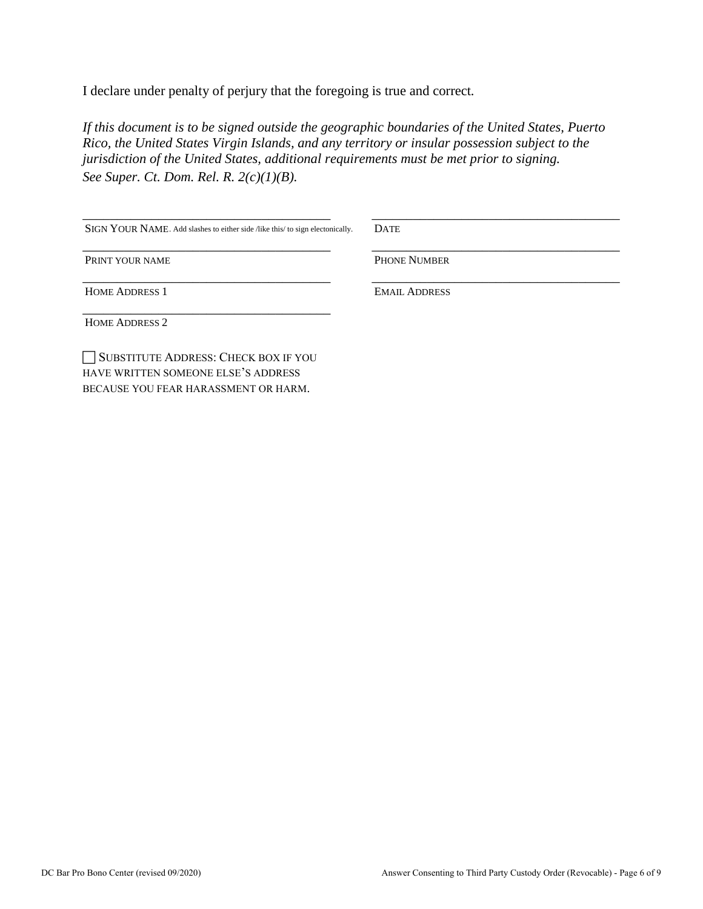I declare under penalty of perjury that the foregoing is true and correct*.* 

*If this document is to be signed outside the geographic boundaries of the United States, Puerto Rico, the United States Virgin Islands, and any territory or insular possession subject to the jurisdiction of the United States, additional requirements must be met prior to signing. See Super. Ct. Dom. Rel. R. 2(c)(1)(B).*

| SIGN YOUR NAME. Add slashes to either side /like this/ to sign electonically. | <b>DATE</b>          |
|-------------------------------------------------------------------------------|----------------------|
| PRINT YOUR NAME                                                               | <b>PHONE NUMBER</b>  |
| <b>HOME ADDRESS 1</b>                                                         | <b>EMAIL ADDRESS</b> |
| <b>HOME ADDRESS 2</b>                                                         |                      |
| SUBSTITUTE ADDRESS: CHECK BOX IF YOU                                          |                      |

HAVE WRITTEN SOMEONE ELSE'S ADDRESS BECAUSE YOU FEAR HARASSMENT OR HARM.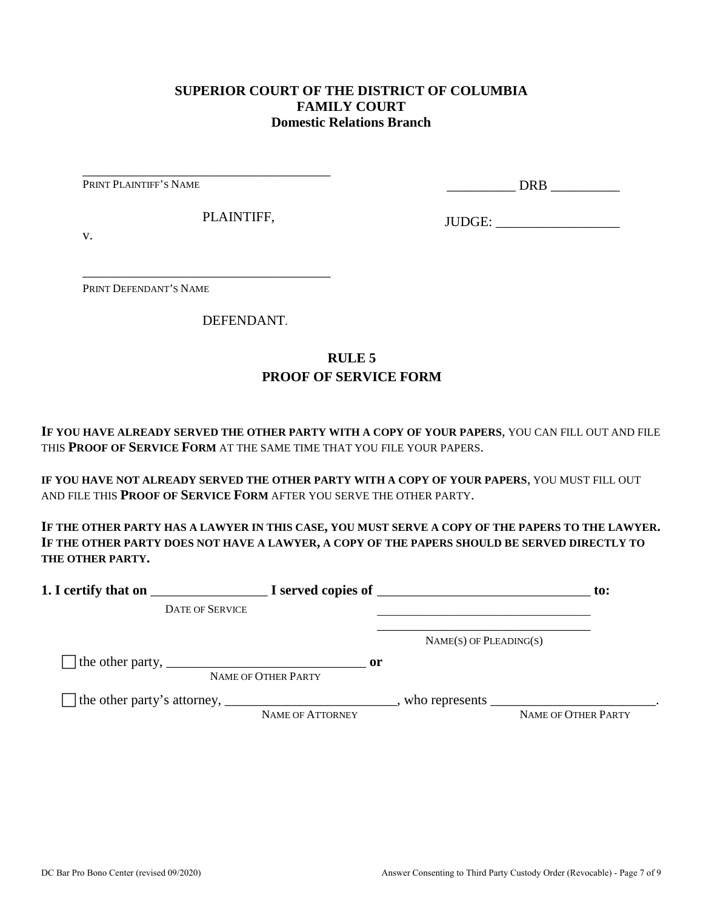### **SUPERIOR COURT OF THE DISTRICT OF COLUMBIA FAMILY COURT Domestic Relations Branch**

PRINT PLAINTIFF'S NAME

\_\_\_\_\_\_\_\_\_\_ DRB \_\_\_\_\_\_\_\_\_\_

PLAINTIFF,

\_\_\_\_\_\_\_\_\_\_\_\_\_\_\_\_\_\_\_\_\_\_\_\_\_\_\_\_\_\_\_\_\_\_\_\_

\_\_\_\_\_\_\_\_\_\_\_\_\_\_\_\_\_\_\_\_\_\_\_\_\_\_\_\_\_\_\_\_\_\_\_\_

JUDGE: \_\_\_\_\_\_\_\_\_\_\_\_\_\_\_\_\_\_

v.

PRINT DEFENDANT'S NAME

DEFENDANT.

## **RULE 5 PROOF OF SERVICE FORM**

**IF YOU HAVE ALREADY SERVED THE OTHER PARTY WITH A COPY OF YOUR PAPERS**, YOU CAN FILL OUT AND FILE THIS **PROOF OF SERVICE FORM** AT THE SAME TIME THAT YOU FILE YOUR PAPERS.

**IF YOU HAVE NOT ALREADY SERVED THE OTHER PARTY WITH A COPY OF YOUR PAPERS**, YOU MUST FILL OUT AND FILE THIS **PROOF OF SERVICE FORM** AFTER YOU SERVE THE OTHER PARTY.

**IF THE OTHER PARTY HAS A LAWYER IN THIS CASE, YOU MUST SERVE A COPY OF THE PAPERS TO THE LAWYER. IF THE OTHER PARTY DOES NOT HAVE A LAWYER, A COPY OF THE PAPERS SHOULD BE SERVED DIRECTLY TO THE OTHER PARTY.** 

| 1. I certify that on                                                                                      |                                      | $\blacksquare$ $\blacksquare$ I served copies of $\blacksquare$ | $\mathbf{to}$ :     |
|-----------------------------------------------------------------------------------------------------------|--------------------------------------|-----------------------------------------------------------------|---------------------|
| <b>DATE OF SERVICE</b>                                                                                    |                                      |                                                                 |                     |
|                                                                                                           |                                      | $NAME(S)$ OF PLEADING(S)                                        |                     |
| The other party, $\frac{1}{\sqrt{1-\frac{1}{2}}}\left\lfloor \frac{1}{2}\right\rfloor$                    | $\mathbf{or}$<br>NAME OF OTHER PARTY |                                                                 |                     |
| The other party's attorney, _______________________________, who represents ____________________________. | NAME OF ATTORNEY                     |                                                                 | NAME OF OTHER PARTY |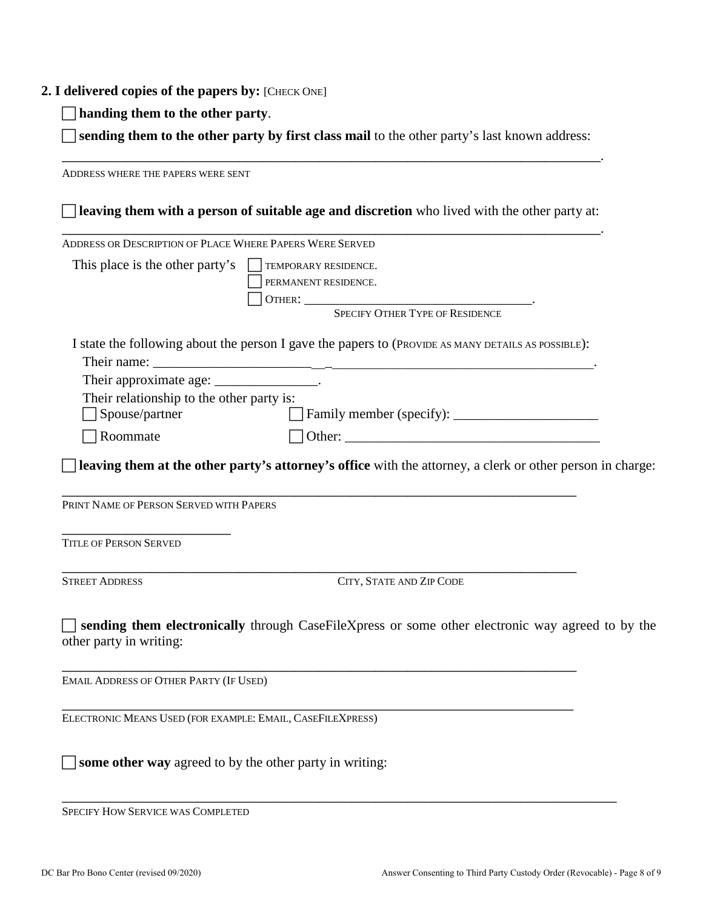#### **2. I delivered copies of the papers by:** [CHECK ONE]

**handing them to the other party**.

 **sending them to the other party by first class mail** to the other party's last known address: \_\_\_\_\_\_\_\_\_\_\_\_\_\_\_\_\_\_\_\_\_\_\_\_\_\_\_\_\_\_\_\_\_\_\_\_\_\_\_\_\_\_\_\_\_\_\_\_\_\_\_\_\_\_\_\_\_\_\_\_\_\_\_\_\_\_\_.

ADDRESS WHERE THE PAPERS WERE SENT **leaving them with a person of suitable age and discretion** who lived with the other party at: \_\_\_\_\_\_\_\_\_\_\_\_\_\_\_\_\_\_\_\_\_\_\_\_\_\_\_\_\_\_\_\_\_\_\_\_\_\_\_\_\_\_\_\_\_\_\_\_\_\_\_\_\_\_\_\_\_\_\_\_\_\_\_\_\_\_\_. ADDRESS OR DESCRIPTION OF PLACE WHERE PAPERS WERE SERVED This place is the other party's  $\Box$  TEMPORARY RESIDENCE. PERMANENT RESIDENCE. OTHER: \_\_\_\_\_\_\_\_\_\_\_\_\_\_\_\_\_\_\_\_\_\_\_\_\_\_\_\_\_\_\_\_\_. SPECIFY OTHER TYPE OF RESIDENCE I state the following about the person I gave the papers to (PROVIDE AS MANY DETAILS AS POSSIBLE): Their name: Their approximate age: \_\_\_\_\_\_\_\_\_\_\_\_\_\_\_\_. Their relationship to the other party is: Spouse/partner Family member (specify): \_\_\_\_\_\_\_\_\_\_\_\_\_\_\_\_\_\_\_\_\_  $\Box$  Roommate  $\Box$  Other: **leaving them at the other party's attorney's office** with the attorney, a clerk or other person in charge: \_\_\_\_\_\_\_\_\_\_\_\_\_\_\_\_\_\_\_\_\_\_\_\_\_\_\_\_\_\_\_\_\_\_\_\_\_\_\_\_\_\_\_\_\_\_\_\_\_\_\_\_\_\_\_\_\_\_\_\_\_\_\_\_ PRINT NAME OF PERSON SERVED WITH PAPERS \_\_\_\_\_\_\_\_\_\_\_\_\_\_\_\_\_\_\_\_\_ TITLE OF PERSON SERVED \_\_\_\_\_\_\_\_\_\_\_\_\_\_\_\_\_\_\_\_\_\_\_\_\_\_\_\_\_\_\_\_\_\_\_\_\_\_\_\_\_\_\_\_\_\_\_\_\_\_\_\_\_\_\_\_\_\_\_\_\_\_\_\_ STREET ADDRESS CITY, STATE AND ZIP CODE **sending them electronically** through CaseFileXpress or some other electronic way agreed to by the other party in writing: \_\_\_\_\_\_\_\_\_\_\_\_\_\_\_\_\_\_\_\_\_\_\_\_\_\_\_\_\_\_\_\_\_\_\_\_\_\_\_\_\_\_\_\_\_\_\_\_\_\_\_\_\_\_\_\_\_\_\_\_\_\_\_\_ EMAIL ADDRESS OF OTHER PARTY (IF USED) \_\_\_\_\_\_\_\_\_\_\_\_\_\_\_\_\_\_\_\_\_\_\_\_\_\_\_\_\_\_\_\_\_\_\_\_\_\_\_\_\_\_\_\_\_\_\_\_\_\_\_\_\_\_\_\_\_\_\_\_\_\_\_\_ ELECTRONIC MEANS USED (FOR EXAMPLE: EMAIL, CASEFILEXPRESS) **some other way** agreed to by the other party in writing:

\_\_\_\_\_\_\_\_\_\_\_\_\_\_\_\_\_\_\_\_\_\_\_\_\_\_\_\_\_\_\_\_\_\_\_\_\_\_\_\_\_\_\_\_\_\_\_\_\_\_\_\_\_\_\_\_\_\_\_\_\_\_\_\_\_\_\_\_\_

SPECIFY HOW SERVICE WAS COMPLETED